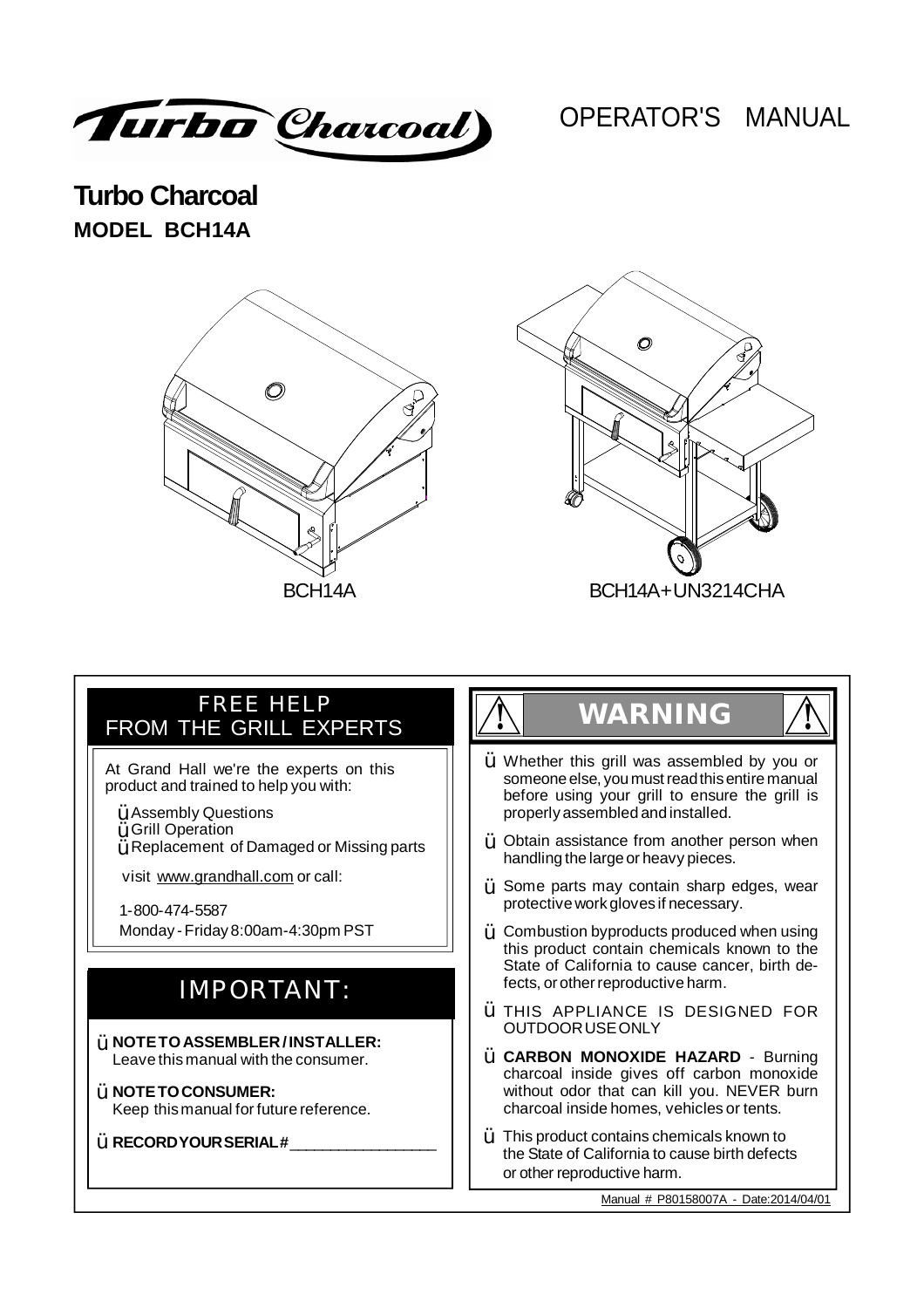Turbo Charcoal)

# OPERATOR'S MANUAL

**Turbo Charcoal MODEL BCH14A**





#### Customer Support HELP<br>Customer Support Customer Support In the Support of the Support of the Support of the Support In the Support I FREE HELP FROM THE GRILL EXPERTS

At Grand Hall we're the experts on this product and trained to help you with:

- $\ddot{\texttt{Y}}$  Assembly Questions
- Grill Operation Ÿ
- $\ddot{\bm{\mathsf{Y}}}$  Replacement of Damaged or Missing parts

visit www.grandhall.com or call:

1-800-474-5587 Monday -Friday 8:00am-4:30pm PST

# IMPORTANT:

- Ÿ **NOTETOASSEMBLER/INSTALLER:** Leave this manual with the consumer.
- Ÿ **NOTETOCONSUMER:** Keep thismanual for future reference.

 $\breve{\texttt{Y}}$  RECORDYOUR SERIAL #\_\_\_\_\_\_\_\_\_\_\_\_\_\_\_\_\_

# **! WARNING !**

- $\ddot{Y}$  Whether this grill was assembled by you or someone else, you must read this entire manual before using your grill to ensure the grill is properly assembled andinstalled.
- $\ddot{Y}$  Obtain assistance from another person when handling the large or heavy pieces.
- $\gamma$  Some parts may contain sharp edges, wear protective work gloves if necessary.
- $\gamma$  Combustion byproducts produced when using this product contain chemicals known to the State of California to cause cancer, birth defects, or other reproductive harm.
- THIS APPLIANCE IS DESIGNED FOR Ÿ OUTDOORUSEONLY
- **CARBON MONOXIDE HAZARD**  Burning Ÿ charcoal inside gives off carbon monoxide without odor that can kill you. NEVER burn charcoal inside homes, vehicles or tents.
- $\ddot{\bm{\mathsf{Y}}}$  This product contains chemicals known to the State of California to cause birth defects or other reproductive harm.

Manual # P80158007A - Date:2014/04/01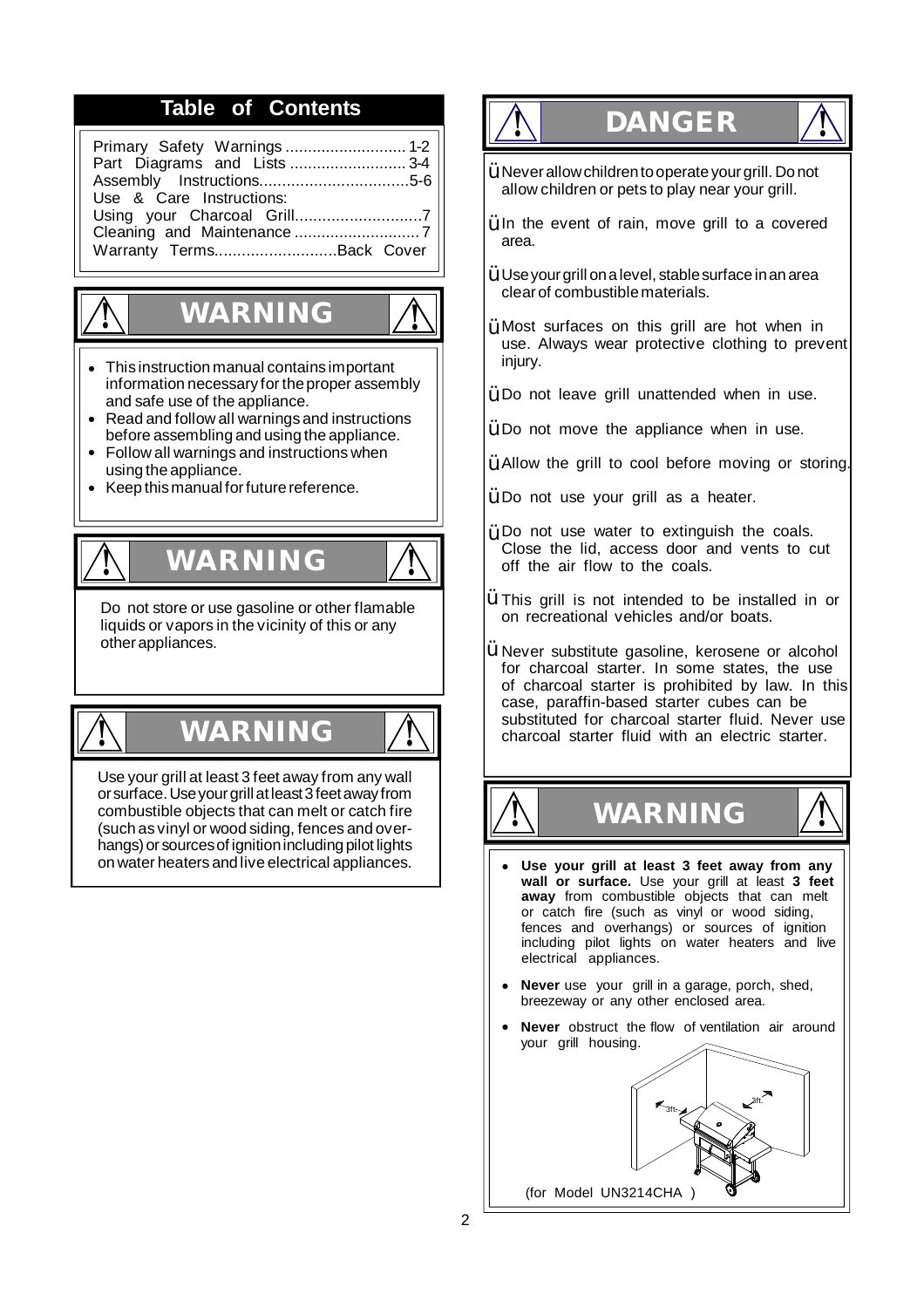# **Table of Contents**

| Part Diagrams and Lists 3-4 |  |
|-----------------------------|--|
|                             |  |
| Use & Care Instructions:    |  |
|                             |  |
|                             |  |
| Warranty TermsBack Cover    |  |
|                             |  |

# **WARNING !**

**!**

- **•** This instruction manual contains important information necessary for the proper assembly and safe use of the appliance.
- **•** Read and follow all warnings and instructions before assembling and using the appliance.
- **•** Follow all warnings and instructions when using the appliance.
- **•** Keep this manual for future reference.

# **! WARNING !**

Do not store or use gasoline or other flamable liquids or vapors in the vicinity of this or any other appliances.

# **! WARNING !**

Use your grill at least 3 feet away from any wall orsurface.Useyourgrillatleast3feetawayfrom combustible objects that can melt or catch fire (such as vinyl or wood siding, fences and overhangs) or sources of ignition including pilot lights on water heaters andlive electrical appliances.

# **! DANGER !**

- $\gamma$  Never allow children to operate your grill. Do not allow children or pets to play near your grill.
- $\ddot{Y}$  In the event of rain, move grill to a covered area.
- $\ddot{\bm{\mathsf{Y}}}$  Use your grill on a level, stable surface in an area clear of combustiblematerials.
- $\ddot{Y}$  Most surfaces on this grill are hot when in use. Always wear protective clothing to prevent injury.
- $\ddot{Y}$  Do not leave grill unattended when in use.
- $\ddot{\mathsf{Y}}$  Do not move the appliance when in use.
- $\mathbf{\dot{Y}}$  Allow the grill to cool before moving or storing.
- $\ddot{Y}$  Do not use your grill as a heater.
- $\gamma$  Do not use water to extinguish the coals. Close the lid, access door and vents to cut off the air flow to the coals.
- $\ddot{Y}$  This grill is not intended to be installed in or on recreational vehicles and/or boats.
- $\ddot{Y}$  Never substitute gasoline, kerosene or alcohol for charcoal starter. In some states, the use of charcoal starter is prohibited by law. In this case, paraffin-based starter cubes can be substituted for charcoal starter fluid. Never use charcoal starter fluid with an electric starter.

**! WARNING !**



- **• Use your grill at least 3 feet away from any wall or surface.** Use your grill at least **3 feet away** from combustible objects that can melt or catch fire (such as vinyl or wood siding, fences and overhangs) or sources of ignition including pilot lights on water heaters and live electrical appliances.
- **• Never** use your grill in a garage, porch, shed, breezeway or any other enclosed area.
- **• Never** obstruct the flow of ventilation air around your grill housing.

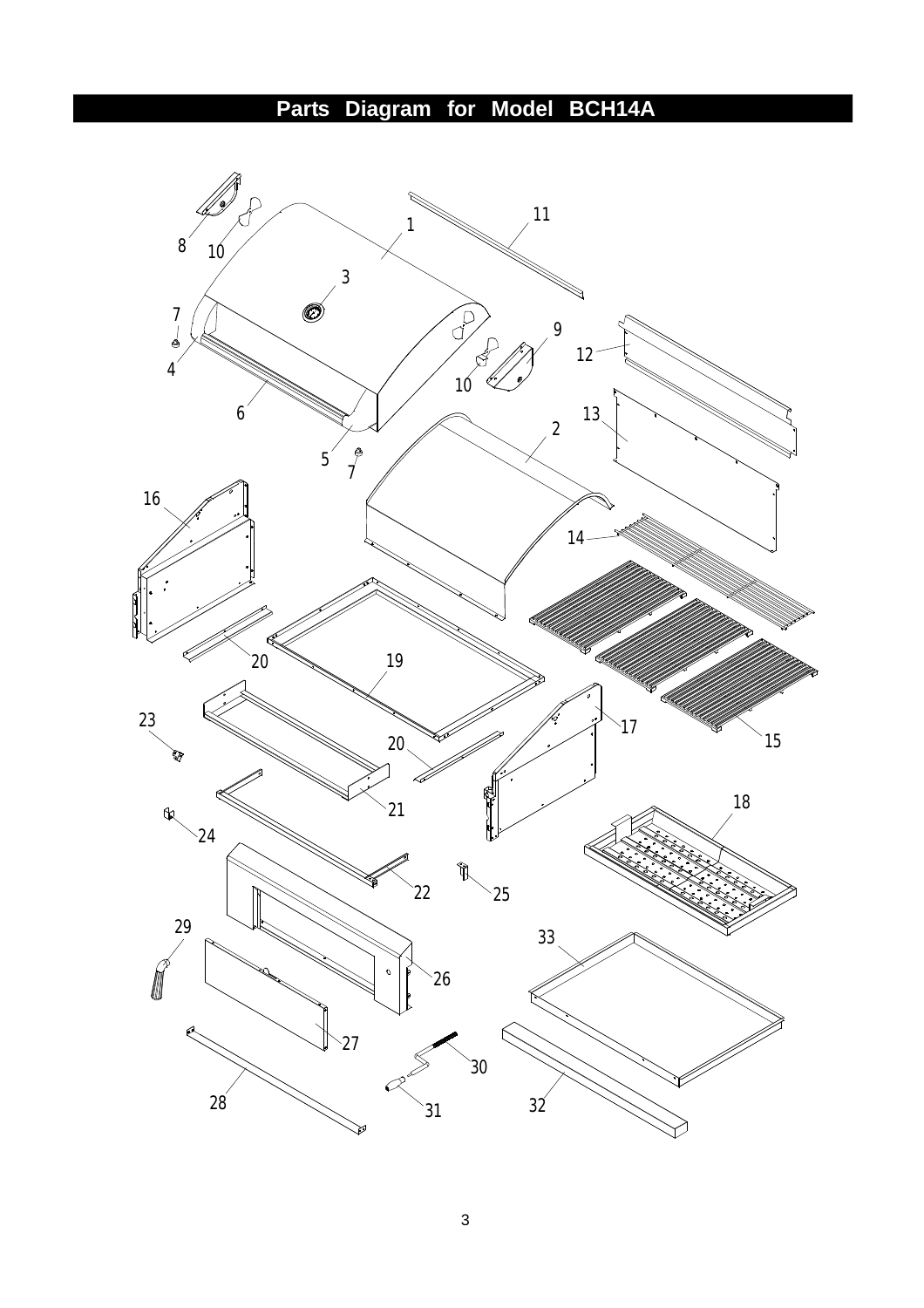# **Parts Diagram for Model BCH14A**

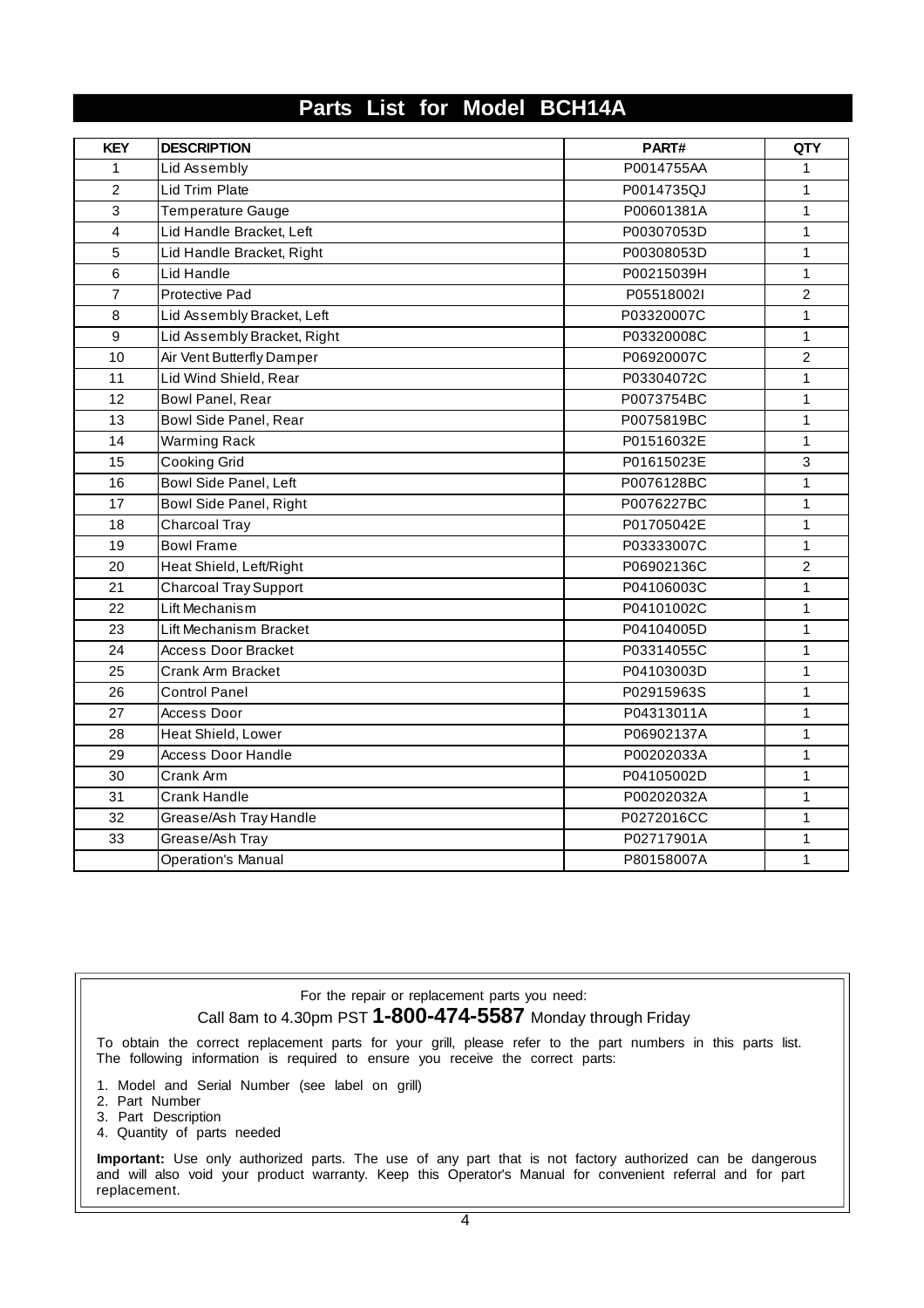# **Parts List for Model BCH14A**

| <b>KEY</b>     | <b>DESCRIPTION</b>           | PART#      | <b>QTY</b>     |
|----------------|------------------------------|------------|----------------|
| 1              | Lid Assembly                 | P0014755AA | $\mathbf{1}$   |
| $\overline{2}$ | Lid Trim Plate               | P0014735QJ | $\mathbf{1}$   |
| 3              | Temperature Gauge            | P00601381A | $\mathbf{1}$   |
| $\overline{4}$ | Lid Handle Bracket, Left     | P00307053D | $\mathbf{1}$   |
| 5              | Lid Handle Bracket, Right    | P00308053D | $\mathbf{1}$   |
| 6              | Lid Handle                   | P00215039H | $\mathbf{1}$   |
| $\overline{7}$ | Protective Pad               | P05518002I | $\overline{2}$ |
| 8              | Lid Assembly Bracket, Left   | P03320007C | $\mathbf{1}$   |
| 9              | Lid Assembly Bracket, Right  | P03320008C | $\mathbf{1}$   |
| 10             | Air Vent Butterfly Damper    | P06920007C | $\overline{2}$ |
| 11             | Lid Wind Shield, Rear        | P03304072C | 1              |
| 12             | Bowl Panel, Rear             | P0073754BC | $\mathbf{1}$   |
| 13             | Bowl Side Panel, Rear        | P0075819BC | $\mathbf{1}$   |
| 14             | <b>Warming Rack</b>          | P01516032E | 1              |
| 15             | <b>Cooking Grid</b>          | P01615023E | 3              |
| 16             | Bowl Side Panel, Left        | P0076128BC | $\mathbf{1}$   |
| 17             | Bowl Side Panel, Right       | P0076227BC | $\mathbf{1}$   |
| 18             | Charcoal Tray                | P01705042E | $\mathbf{1}$   |
| 19             | <b>Bowl Frame</b>            | P03333007C | 1              |
| 20             | Heat Shield, Left/Right      | P06902136C | $\overline{c}$ |
| 21             | <b>Charcoal Tray Support</b> | P04106003C | $\mathbf{1}$   |
| 22             | Lift Mechanism               | P04101002C | $\mathbf{1}$   |
| 23             | Lift Mechanism Bracket       | P04104005D | $\mathbf{1}$   |
| 24             | <b>Access Door Bracket</b>   | P03314055C | $\mathbf{1}$   |
| 25             | Crank Arm Bracket            | P04103003D | $\mathbf{1}$   |
| 26             | <b>Control Panel</b>         | P02915963S | $\mathbf{1}$   |
| 27             | Access Door                  | P04313011A | $\mathbf{1}$   |
| 28             | Heat Shield, Lower           | P06902137A | $\mathbf{1}$   |
| 29             | <b>Access Door Handle</b>    | P00202033A | $\mathbf{1}$   |
| 30             | Crank Arm                    | P04105002D | $\mathbf{1}$   |
| 31             | Crank Handle                 | P00202032A | 1              |
| 32             | Grease/Ash Tray Handle       | P0272016CC | $\mathbf{1}$   |
| 33             | Grease/Ash Tray              | P02717901A | $\mathbf{1}$   |
|                | <b>Operation's Manual</b>    | P80158007A | $\mathbf{1}$   |

# For the repair or replacement parts you need: Call 8am to 4.30pm PST **1-800-474-5587** Monday through Friday

To obtain the correct replacement parts for your grill, please refer to the part numbers in this parts list. The following information is required to ensure you receive the correct parts:

- 1. Model and Serial Number (see label on grill)
- 2. Part Number
- 3. Part Description
- 4. Quantity of parts needed

**Important:** Use only authorized parts. The use of any part that is not factory authorized can be dangerous and will also void your product warranty. Keep this Operator's Manual for convenient referral and for part replacement.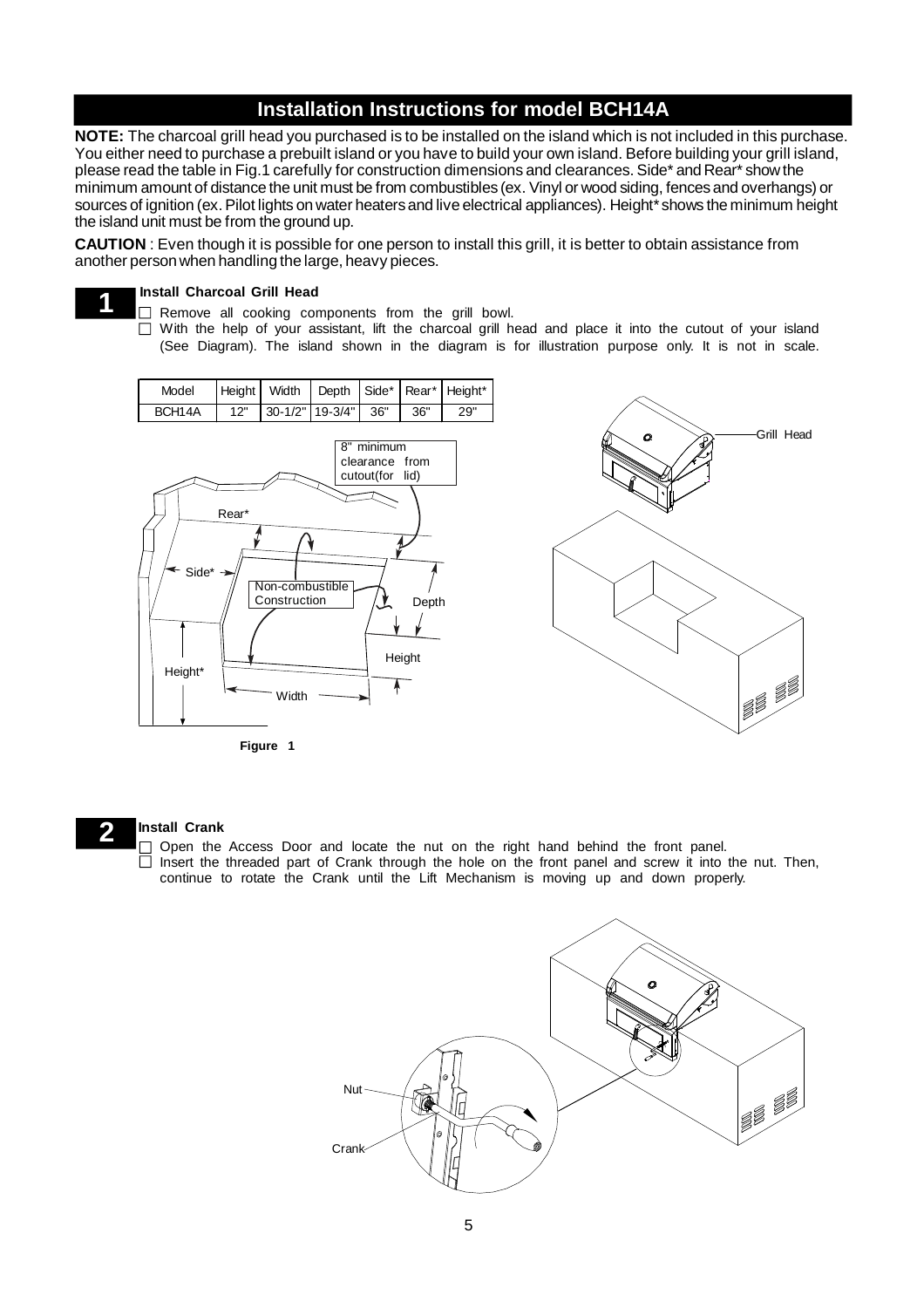# **Installation Instructions for model BCH14A**

**NOTE:** The charcoal grill head you purchased is to be installed on the island which is not included in this purchase. You either need to purchase a prebuilt island or you have to build your own island. Before building your grill island, please read the table in Fig.1 carefully for construction dimensions and clearances. Side\* and Rear\* showthe minimum amount of distance the unit must be from combustibles (ex. Vinyl or wood siding, fences and overhangs) or sources of ignition (ex. Pilot lights on water heaters and live electrical appliances). Height\* shows the minimum height the island unit must be from the ground up.

**CAUTION** : Even though it is possible for one person to install this grill, it is better to obtain assistance from another personwhen handling the large, heavy pieces.

#### **Install Charcoal Grill Head**

**1**

- $\Box$ Remove all cooking components from the grill bowl.
- With the help of your assistant, lift the charcoal grill head and place it into the cutout of your island  $\Box$ (See Diagram). The island shown in the diagram is for illustration purpose only. It is not in scale.



**Figure 1**

#### **2 Install Crank**

Open the Access Door and locate the nut on the right hand behind the front panel.  $\Box$  Insert the threaded part of Crank through the hole on the front panel and screw it into the nut. Then, continue to rotate the Crank until the Lift Mechanism is moving up and down properly.

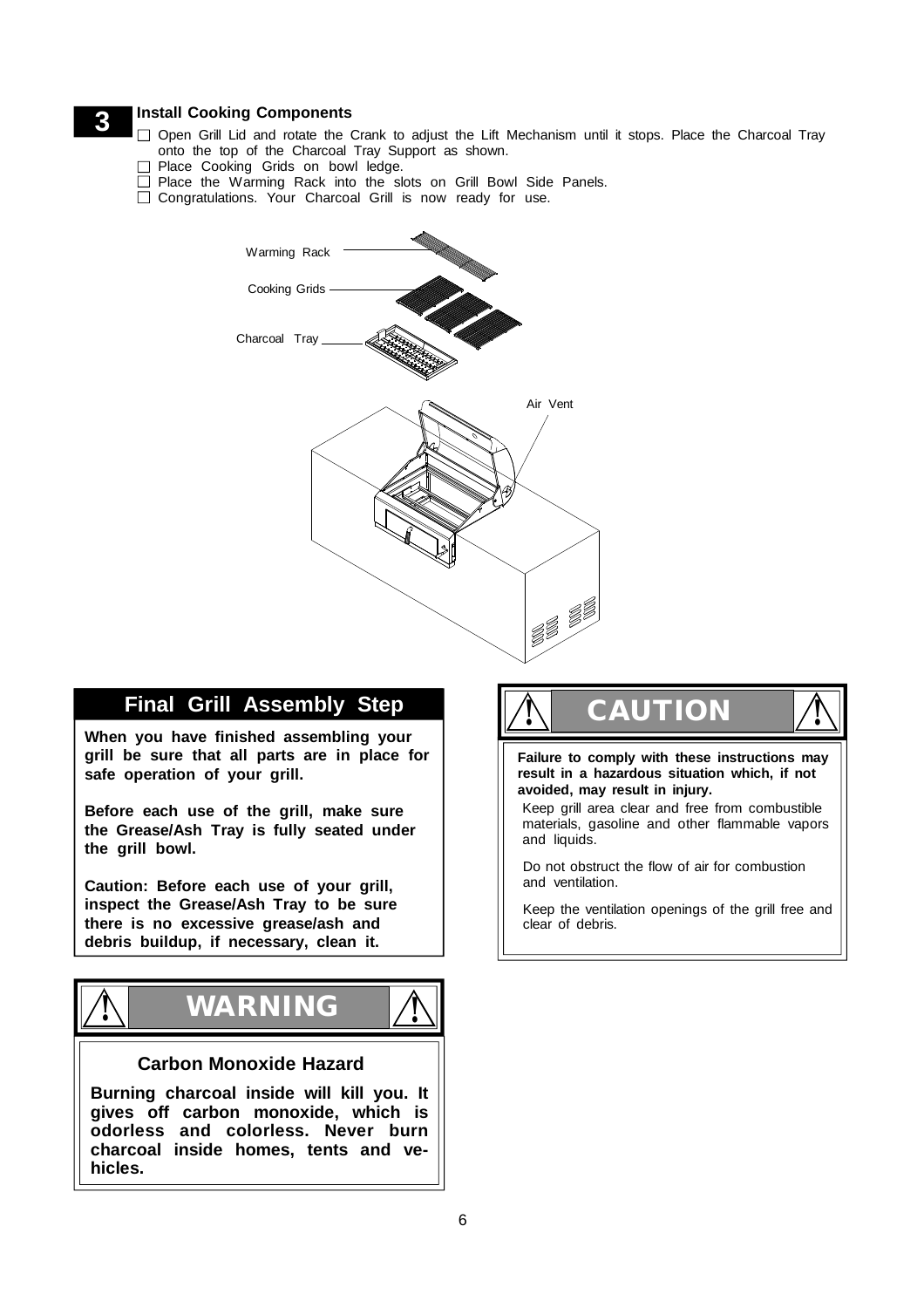- **3** Install Cooking Components<br>
Open Grill Lid and rotate the Crank to adjust the Lift Mechanism until it stops. Place the Charcoal Tray onto the top of the Charcoal Tray Support as shown.
	- Place Cooking Grids on bowl ledge.
	- □ Place the Warming Rack into the slots on Grill Bowl Side Panels.
	- □ Congratulations. Your Charcoal Grill is now ready for use.



# **Final Grill Assembly Step**

**When you have finished assembling your grill be sure that all parts are in place for safe operation of your grill.**

**Before each use of the grill, make sure the Grease/Ash Tray is fully seated under the grill bowl.**

**Caution: Before each use of your grill, inspect the Grease/Ash Tray to be sure there is no excessive grease/ash and debris buildup, if necessary, clean it.**



## **Carbon Monoxide Hazard**

**Burning charcoal inside will kill you. It gives off carbon monoxide, which is odorless and colorless. Never burn charcoal inside homes, tents and vehicles.**

# **CAUTION ! !**

**Failure to comply with these instructions may result in a hazardous situation which, if not avoided, may result in injury.**

Keep grill area clear and free from combustible materials, gasoline and other flammable vapors and liquids.

Do not obstruct the flow of air for combustion and ventilation.

Keep the ventilation openings of the grill free and clear of debris.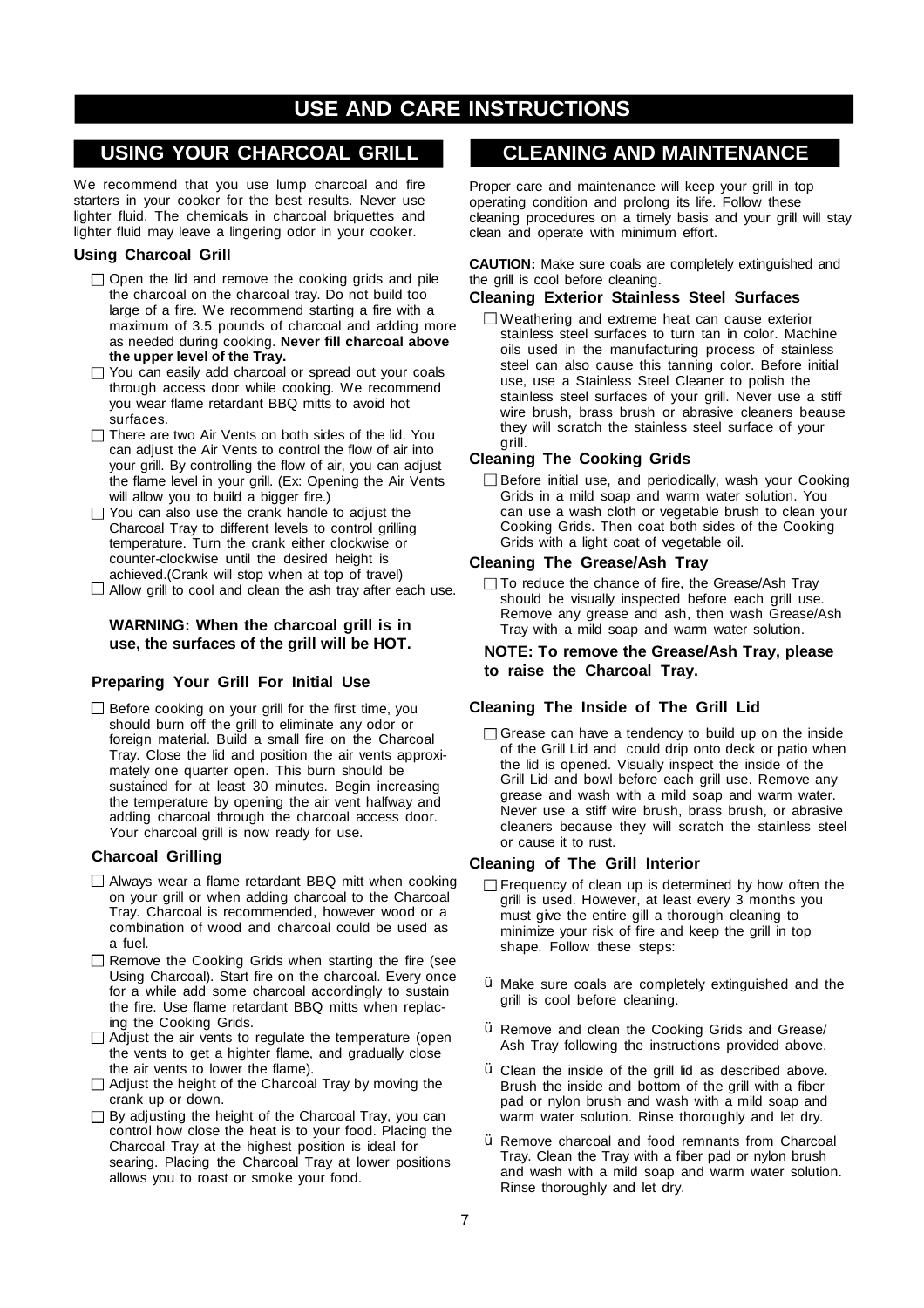# **USE AND CARE INSTRUCTIONS**

# **USING YOUR CHARCOAL GRILL**

We recommend that you use lump charcoal and fire starters in your cooker for the best results. Never use lighter fluid. The chemicals in charcoal briquettes and lighter fluid may leave a lingering odor in your cooker.

## **Using Charcoal Grill**

- $\Box$  Open the lid and remove the cooking grids and pile the charcoal on the charcoal tray. Do not build too large of a fire. We recommend starting a fire with a maximum of 3.5 pounds of charcoal and adding more as needed during cooking. **Never fill charcoal above the upper level of the Tray.**
- □ You can easily add charcoal or spread out your coals through access door while cooking. We recommend you wear flame retardant BBQ mitts to avoid hot surfaces.
- $\Box$  There are two Air Vents on both sides of the lid. You can adjust the Air Vents to control the flow of air into your grill. By controlling the flow of air, you can adjust the flame level in your grill. (Ex: Opening the Air Vents will allow you to build a bigger fire.)
- $\Box$  You can also use the crank handle to adjust the Charcoal Tray to different levels to control grilling temperature. Turn the crank either clockwise or counter-clockwise until the desired height is achieved.(Crank will stop when at top of travel)
- $\Box$  Allow grill to cool and clean the ash tray after each use.

#### **WARNING: When the charcoal grill is in use, the surfaces of the grill will be HOT.**

## **Preparing Your Grill For Initial Use**

 $\square$  Before cooking on your grill for the first time, you should burn off the grill to eliminate any odor or foreign material. Build a small fire on the Charcoal Tray. Close the lid and position the air vents approximately one quarter open. This burn should be sustained for at least 30 minutes. Begin increasing the temperature by opening the air vent halfway and adding charcoal through the charcoal access door. Your charcoal grill is now ready for use.

### **Charcoal Grilling**

- $\Box$  Always wear a flame retardant BBQ mitt when cooking on your grill or when adding charcoal to the Charcoal Tray. Charcoal is recommended, however wood or a combination of wood and charcoal could be used as a fuel.
- □ Remove the Cooking Grids when starting the fire (see Using Charcoal). Start fire on the charcoal. Every once for a while add some charcoal accordingly to sustain the fire. Use flame retardant BBQ mitts when replacing the Cooking Grids.
- $\Box$  Adjust the air vents to regulate the temperature (open the vents to get a highter flame, and gradually close the air vents to lower the flame).
- $\Box$  Adjust the height of the Charcoal Tray by moving the crank up or down.
- $\Box$  By adjusting the height of the Charcoal Tray, you can control how close the heat is to your food. Placing the Charcoal Tray at the highest position is ideal for searing. Placing the Charcoal Tray at lower positions allows you to roast or smoke your food.

# **CLEANING AND MAINTENANCE**

Proper care and maintenance will keep your grill in top operating condition and prolong its life. Follow these cleaning procedures on a timely basis and your grill will stay clean and operate with minimum effort.

#### **CAUTION:** Make sure coals are completely extinguished and the grill is cool before cleaning.

## **Cleaning Exterior Stainless Steel Surfaces**

Weathering and extreme heat can cause exterior stainless steel surfaces to turn tan in color. Machine oils used in the manufacturing process of stainless steel can also cause this tanning color. Before initial use, use a Stainless Steel Cleaner to polish the stainless steel surfaces of your grill. Never use a stiff wire brush, brass brush or abrasive cleaners beause they will scratch the stainless steel surface of your grill.

## **Cleaning The Cooking Grids**

Before initial use, and periodically, wash your Cooking Grids in a mild soap and warm water solution. You can use a wash cloth or vegetable brush to clean your Cooking Grids. Then coat both sides of the Cooking Grids with a light coat of vegetable oil.

#### **Cleaning The Grease/Ash Tray**

 $\Box$  To reduce the chance of fire, the Grease/Ash Tray should be visually inspected before each grill use. Remove any grease and ash, then wash Grease/Ash Tray with a mild soap and warm water solution.

#### **NOTE: To remove the Grease/Ash Tray, please to raise the Charcoal Tray.**

### **Cleaning The Inside of The Grill Lid**

 $\Box$  Grease can have a tendency to build up on the inside of the Grill Lid and could drip onto deck or patio when the lid is opened. Visually inspect the inside of the Grill Lid and bowl before each grill use. Remove any grease and wash with a mild soap and warm water. Never use a stiff wire brush, brass brush, or abrasive cleaners because they will scratch the stainless steel or cause it to rust.

### **Cleaning of The Grill Interior**

- $\Box$  Frequency of clean up is determined by how often the grill is used. However, at least every 3 months you must give the entire gill a thorough cleaning to minimize your risk of fire and keep the grill in top shape. Follow these steps:
- $\mathsf{\hat{Y}}$  Make sure coals are completely extinguished and the grill is cool before cleaning.
- $\mathsf{\hat{Y}}$  Remove and clean the Cooking Grids and Grease/ Ash Tray following the instructions provided above.
- $\ddot{Y}$  Clean the inside of the grill lid as described above. Brush the inside and bottom of the grill with a fiber pad or nylon brush and wash with a mild soap and warm water solution. Rinse thoroughly and let dry.
- Y Remove charcoal and food remnants from Charcoal Tray. Clean the Tray with a fiber pad or nylon brush and wash with a mild soap and warm water solution. Rinse thoroughly and let dry.